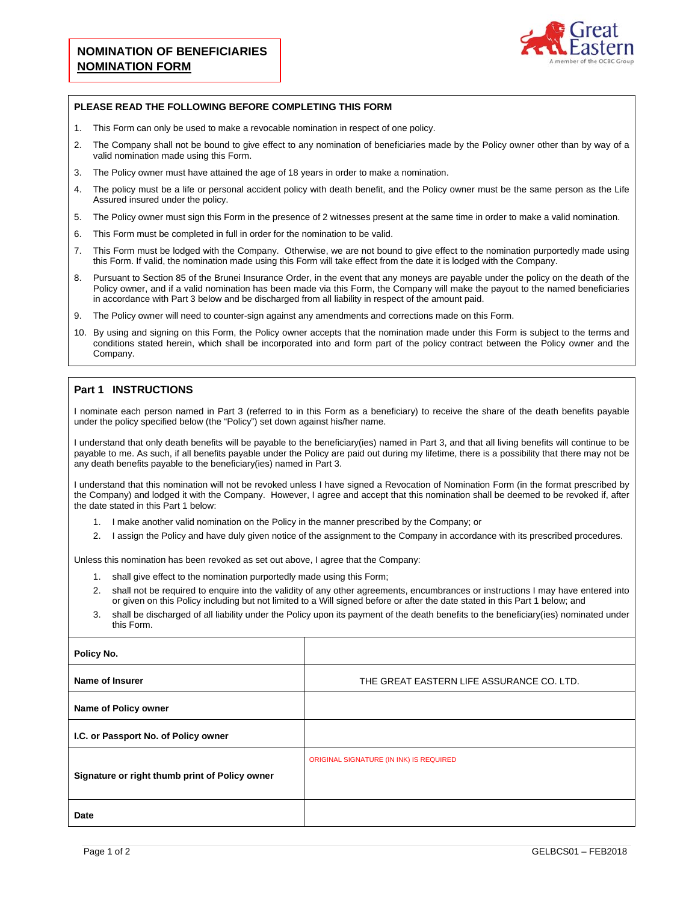

## **PLEASE READ THE FOLLOWING BEFORE COMPLETING THIS FORM**

- 1. This Form can only be used to make a revocable nomination in respect of one policy.
- 2. The Company shall not be bound to give effect to any nomination of beneficiaries made by the Policy owner other than by way of a valid nomination made using this Form.
- 3. The Policy owner must have attained the age of 18 years in order to make a nomination.
- 4. The policy must be a life or personal accident policy with death benefit, and the Policy owner must be the same person as the Life Assured insured under the policy.
- 5. The Policy owner must sign this Form in the presence of 2 witnesses present at the same time in order to make a valid nomination.
- 6. This Form must be completed in full in order for the nomination to be valid.
- 7. This Form must be lodged with the Company. Otherwise, we are not bound to give effect to the nomination purportedly made using this Form. If valid, the nomination made using this Form will take effect from the date it is lodged with the Company.
- 8. Pursuant to Section 85 of the Brunei Insurance Order, in the event that any moneys are payable under the policy on the death of the Policy owner, and if a valid nomination has been made via this Form, the Company will make the payout to the named beneficiaries in accordance with Part 3 below and be discharged from all liability in respect of the amount paid.
- 9. The Policy owner will need to counter-sign against any amendments and corrections made on this Form.
- 10. By using and signing on this Form, the Policy owner accepts that the nomination made under this Form is subject to the terms and conditions stated herein, which shall be incorporated into and form part of the policy contract between the Policy owner and the Company.

## **Part 1 INSTRUCTIONS**

I nominate each person named in Part 3 (referred to in this Form as a beneficiary) to receive the share of the death benefits payable under the policy specified below (the "Policy") set down against his/her name.

I understand that only death benefits will be payable to the beneficiary(ies) named in Part 3, and that all living benefits will continue to be payable to me. As such, if all benefits payable under the Policy are paid out during my lifetime, there is a possibility that there may not be any death benefits payable to the beneficiary(ies) named in Part 3.

I understand that this nomination will not be revoked unless I have signed a Revocation of Nomination Form (in the format prescribed by the Company) and lodged it with the Company. However, I agree and accept that this nomination shall be deemed to be revoked if, after the date stated in this Part 1 below:

- 1. I make another valid nomination on the Policy in the manner prescribed by the Company; or
- 2. I assign the Policy and have duly given notice of the assignment to the Company in accordance with its prescribed procedures.

Unless this nomination has been revoked as set out above, I agree that the Company:

- 1. shall give effect to the nomination purportedly made using this Form;
- 2. shall not be required to enquire into the validity of any other agreements, encumbrances or instructions I may have entered into or given on this Policy including but not limited to a Will signed before or after the date stated in this Part 1 below; and
- 3. shall be discharged of all liability under the Policy upon its payment of the death benefits to the beneficiary(ies) nominated under this Form.

| Policy No.                                     |                                           |  |  |
|------------------------------------------------|-------------------------------------------|--|--|
| Name of Insurer                                | THE GREAT EASTERN LIFE ASSURANCE CO. LTD. |  |  |
| Name of Policy owner                           |                                           |  |  |
| I.C. or Passport No. of Policy owner           |                                           |  |  |
| Signature or right thumb print of Policy owner | ORIGINAL SIGNATURE (IN INK) IS REQUIRED   |  |  |
| Date                                           |                                           |  |  |